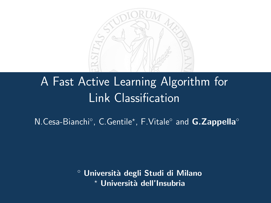

# A Fast Active Learning Algorithm for Link Classification

N.Cesa-Bianchi°, C.Gentile\*, F.Vitale° and G.Zappella°

<span id="page-0-0"></span>◦ Universit`a degli Studi di Milano Università dell'Insubria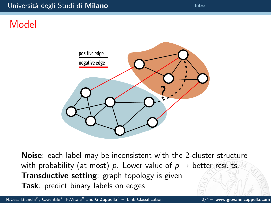#### Università degli Studi di Milano **[Intro](#page-1-0)** Intro

## Model



<span id="page-1-0"></span>Noise: each label may be inconsistent with the 2-cluster structure with probability (at most) p. Lower value of  $p \rightarrow$  better results. **Transductive setting**: graph topology is given Task: predict binary labels on edges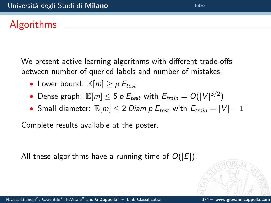### Algorithms

We present active learning algorithms with different trade-offs between number of queried labels and number of mistakes.

- Lower bound:  $\mathbb{E}[m] \geq p E_{test}$
- Dense graph:  $\mathbb{E}[m] \leq 5$   $p$   $E_{test}$  with  $E_{train} = O(|V|^{3/2})$
- Small diameter:  $\mathbb{E}[m] \leq 2$  Diam p  $E_{test}$  with  $E_{train} = |V| 1$

Complete results available at the poster.

All these algorithms have a running time of  $O(|E|)$ .

N.Cesa-Bianchi◦, C.Gentile?, F.Vitale◦ and G.Zappella◦ – [Link Classification](#page-0-0) 3/4 – www.giovannizappella.com